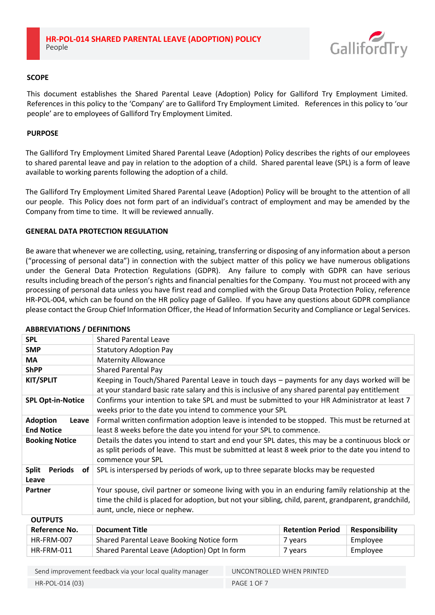

# **SCOPE**

This document establishes the Shared Parental Leave (Adoption) Policy for Galliford Try Employment Limited. References in this policy to the 'Company' are to Galliford Try Employment Limited. References in this policy to 'our people' are to employees of Galliford Try Employment Limited.

## **PURPOSE**

The Galliford Try Employment Limited Shared Parental Leave (Adoption) Policy describes the rights of our employees to shared parental leave and pay in relation to the adoption of a child. Shared parental leave (SPL) is a form of leave available to working parents following the adoption of a child.

The Galliford Try Employment Limited Shared Parental Leave (Adoption) Policy will be brought to the attention of all our people. This Policy does not form part of an individual's contract of employment and may be amended by the Company from time to time. It will be reviewed annually.

# **GENERAL DATA PROTECTION REGULATION**

Be aware that whenever we are collecting, using, retaining, transferring or disposing of any information about a person ("processing of personal data") in connection with the subject matter of this policy we have numerous obligations under the General Data Protection Regulations (GDPR). Any failure to comply with GDPR can have serious results including breach of the person's rights and financial penalties for the Company. You must not proceed with any processing of personal data unless you have first read and complied with the Group Data Protection Policy, reference HR-POL-004, which can be found on the HR policy page of Galileo. If you have any questions about GDPR compliance please contact the Group Chief Information Officer, the Head of Information Security and Compliance or Legal Services.

| <b>ADDREVIATIONS / DEFINITIONS</b>            |                                                                                                                                                                                                                                          |                         |                       |  |
|-----------------------------------------------|------------------------------------------------------------------------------------------------------------------------------------------------------------------------------------------------------------------------------------------|-------------------------|-----------------------|--|
| <b>SPL</b>                                    | <b>Shared Parental Leave</b>                                                                                                                                                                                                             |                         |                       |  |
| <b>SMP</b>                                    | <b>Statutory Adoption Pay</b>                                                                                                                                                                                                            |                         |                       |  |
| MA                                            | <b>Maternity Allowance</b>                                                                                                                                                                                                               |                         |                       |  |
| <b>ShPP</b>                                   | <b>Shared Parental Pay</b>                                                                                                                                                                                                               |                         |                       |  |
| <b>KIT/SPLIT</b>                              | Keeping in Touch/Shared Parental Leave in touch days - payments for any days worked will be<br>at your standard basic rate salary and this is inclusive of any shared parental pay entitlement                                           |                         |                       |  |
| <b>SPL Opt-in-Notice</b>                      | Confirms your intention to take SPL and must be submitted to your HR Administrator at least 7<br>weeks prior to the date you intend to commence your SPL                                                                                 |                         |                       |  |
| <b>Adoption</b><br>Leave<br><b>End Notice</b> | Formal written confirmation adoption leave is intended to be stopped. This must be returned at<br>least 8 weeks before the date you intend for your SPL to commence.                                                                     |                         |                       |  |
| <b>Booking Notice</b>                         | Details the dates you intend to start and end your SPL dates, this may be a continuous block or<br>as split periods of leave. This must be submitted at least 8 week prior to the date you intend to<br>commence your SPL                |                         |                       |  |
| <b>Periods</b><br><b>Split</b><br>of<br>Leave | SPL is interspersed by periods of work, up to three separate blocks may be requested                                                                                                                                                     |                         |                       |  |
| Partner                                       | Your spouse, civil partner or someone living with you in an enduring family relationship at the<br>time the child is placed for adoption, but not your sibling, child, parent, grandparent, grandchild,<br>aunt, uncle, niece or nephew. |                         |                       |  |
| <b>OUTPUTS</b>                                |                                                                                                                                                                                                                                          |                         |                       |  |
| Reference No                                  | Document Title                                                                                                                                                                                                                           | <b>Ratantion Dariod</b> | <b>Recnoncibility</b> |  |

## **ABBREVIATIONS / DEFINITIONS**

| <b>Reference No.</b> | <b>Document Title</b>                        | <b>Retention Period</b> | <b>Responsibility</b> |  |
|----------------------|----------------------------------------------|-------------------------|-----------------------|--|
| HR-FRM-007           | Shared Parental Leave Booking Notice form    | ' vears                 | Employee              |  |
| HR-FRM-011           | Shared Parental Leave (Adoption) Opt In form | 7 years                 | Employee              |  |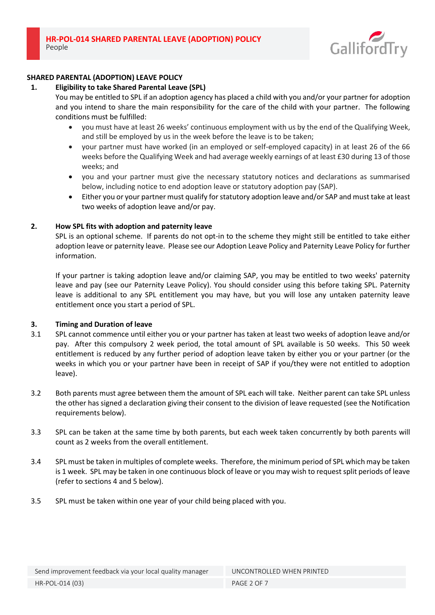

# **SHARED PARENTAL (ADOPTION) LEAVE POLICY**

# **1. Eligibility to take Shared Parental Leave (SPL)**

You may be entitled to SPL if an adoption agency has placed a child with you and/or your partner for adoption and you intend to share the main responsibility for the care of the child with your partner. The following conditions must be fulfilled:

- you must have at least 26 weeks' continuous employment with us by the end of the Qualifying Week, and still be employed by us in the week before the leave is to be taken;
- your partner must have worked (in an employed or self-employed capacity) in at least 26 of the 66 weeks before the Qualifying Week and had average weekly earnings of at least £30 during 13 of those weeks; and
- you and your partner must give the necessary statutory notices and declarations as summarised below, including notice to end adoption leave or statutory adoption pay (SAP).
- Either you or your partner must qualify for statutory adoption leave and/or SAP and must take at least two weeks of adoption leave and/or pay.

# **2. How SPL fits with adoption and paternity leave**

SPL is an optional scheme. If parents do not opt-in to the scheme they might still be entitled to take either adoption leave or paternity leave. Please see our Adoption Leave Policy and Paternity Leave Policy for further information.

If your partner is taking adoption leave and/or claiming SAP, you may be entitled to two weeks' paternity leave and pay (see our Paternity Leave Policy). You should consider using this before taking SPL. Paternity leave is additional to any SPL entitlement you may have, but you will lose any untaken paternity leave entitlement once you start a period of SPL.

## **3. Timing and Duration of leave**

- 3.1 SPL cannot commence until either you or your partner has taken at least two weeks of adoption leave and/or pay. After this compulsory 2 week period, the total amount of SPL available is 50 weeks. This 50 week entitlement is reduced by any further period of adoption leave taken by either you or your partner (or the weeks in which you or your partner have been in receipt of SAP if you/they were not entitled to adoption leave).
- 3.2 Both parents must agree between them the amount of SPL each will take. Neither parent can take SPL unless the other has signed a declaration giving their consent to the division of leave requested (see the Notification requirements below).
- 3.3 SPL can be taken at the same time by both parents, but each week taken concurrently by both parents will count as 2 weeks from the overall entitlement.
- 3.4 SPL must be taken in multiples of complete weeks. Therefore, the minimum period of SPL which may be taken is 1 week. SPL may be taken in one continuous block of leave or you may wish to request split periods of leave (refer to sections 4 and 5 below).
- 3.5 SPL must be taken within one year of your child being placed with you.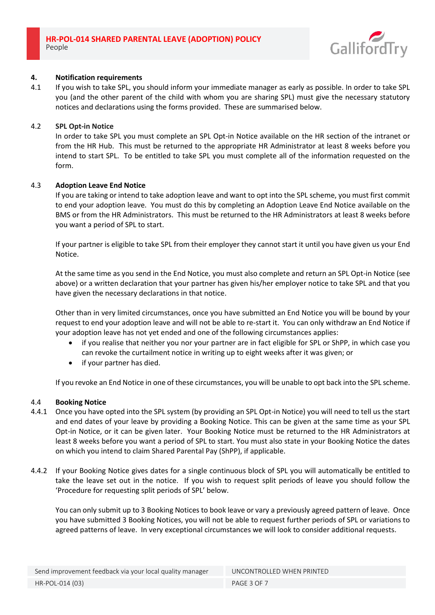

## **4. Notification requirements**

4.1 If you wish to take SPL, you should inform your immediate manager as early as possible. In order to take SPL you (and the other parent of the child with whom you are sharing SPL) must give the necessary statutory notices and declarations using the forms provided. These are summarised below.

## 4.2 **SPL Opt-in Notice**

In order to take SPL you must complete an SPL Opt-in Notice available on the HR section of the intranet or from the HR Hub. This must be returned to the appropriate HR Administrator at least 8 weeks before you intend to start SPL. To be entitled to take SPL you must complete all of the information requested on the form.

## 4.3 **Adoption Leave End Notice**

If you are taking or intend to take adoption leave and want to opt into the SPL scheme, you must first commit to end your adoption leave. You must do this by completing an Adoption Leave End Notice available on the BMS or from the HR Administrators. This must be returned to the HR Administrators at least 8 weeks before you want a period of SPL to start.

If your partner is eligible to take SPL from their employer they cannot start it until you have given us your End Notice.

At the same time as you send in the End Notice, you must also complete and return an SPL Opt-in Notice (see above) or a written declaration that your partner has given his/her employer notice to take SPL and that you have given the necessary declarations in that notice.

Other than in very limited circumstances, once you have submitted an End Notice you will be bound by your request to end your adoption leave and will not be able to re-start it. You can only withdraw an End Notice if your adoption leave has not yet ended and one of the following circumstances applies:

- if you realise that neither you nor your partner are in fact eligible for SPL or ShPP, in which case you can revoke the curtailment notice in writing up to eight weeks after it was given; or
- if your partner has died.

If you revoke an End Notice in one of these circumstances, you will be unable to opt back into the SPL scheme.

## 4.4 **Booking Notice**

- 4.4.1 Once you have opted into the SPL system (by providing an SPL Opt-in Notice) you will need to tell us the start and end dates of your leave by providing a Booking Notice. This can be given at the same time as your SPL Opt-in Notice, or it can be given later. Your Booking Notice must be returned to the HR Administrators at least 8 weeks before you want a period of SPL to start. You must also state in your Booking Notice the dates on which you intend to claim Shared Parental Pay (ShPP), if applicable.
- 4.4.2 If your Booking Notice gives dates for a single continuous block of SPL you will automatically be entitled to take the leave set out in the notice. If you wish to request split periods of leave you should follow the 'Procedure for requesting split periods of SPL' below.

You can only submit up to 3 Booking Notices to book leave or vary a previously agreed pattern of leave. Once you have submitted 3 Booking Notices, you will not be able to request further periods of SPL or variations to agreed patterns of leave. In very exceptional circumstances we will look to consider additional requests.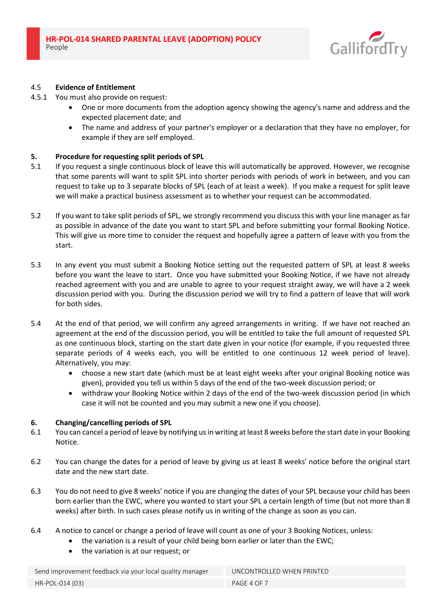

# 4.5 **Evidence of Entitlement**

- 4.5.1 You must also provide on request:
	- One or more documents from the adoption agency showing the agency's name and address and the expected placement date; and
	- The name and address of your partner's employer or a declaration that they have no employer, for example if they are self employed.

## **5. Procedure for requesting split periods of SPL**

- 5.1 If you request a single continuous block of leave this will automatically be approved. However, we recognise that some parents will want to split SPL into shorter periods with periods of work in between, and you can request to take up to 3 separate blocks of SPL (each of at least a week). If you make a request for split leave we will make a practical business assessment as to whether your request can be accommodated.
- 5.2 If you want to take split periods of SPL, we strongly recommend you discuss this with your line manager as far as possible in advance of the date you want to start SPL and before submitting your formal Booking Notice. This will give us more time to consider the request and hopefully agree a pattern of leave with you from the start.
- 5.3 In any event you must submit a Booking Notice setting out the requested pattern of SPL at least 8 weeks before you want the leave to start. Once you have submitted your Booking Notice, if we have not already reached agreement with you and are unable to agree to your request straight away, we will have a 2 week discussion period with you. During the discussion period we will try to find a pattern of leave that will work for both sides.
- 5.4 At the end of that period, we will confirm any agreed arrangements in writing. If we have not reached an agreement at the end of the discussion period, you will be entitled to take the full amount of requested SPL as one continuous block, starting on the start date given in your notice (for example, if you requested three separate periods of 4 weeks each, you will be entitled to one continuous 12 week period of leave). Alternatively, you may:
	- choose a new start date (which must be at least eight weeks after your original Booking notice was given), provided you tell us within 5 days of the end of the two-week discussion period; or
	- withdraw your Booking Notice within 2 days of the end of the two-week discussion period (in which case it will not be counted and you may submit a new one if you choose).

## **6. Changing/cancelling periods of SPL**

- 6.1 You can cancel a period of leave by notifying us in writing at least 8 weeks before the start date in your Booking Notice.
- 6.2 You can change the dates for a period of leave by giving us at least 8 weeks' notice before the original start date and the new start date.
- 6.3 You do not need to give 8 weeks' notice if you are changing the dates of your SPL because your child has been born earlier than the EWC, where you wanted to start your SPL a certain length of time (but not more than 8 weeks) after birth. In such cases please notify us in writing of the change as soon as you can.
- 6.4 A notice to cancel or change a period of leave will count as one of your 3 Booking Notices, unless:
	- the variation is a result of your child being born earlier or later than the EWC;
	- the variation is at our request; or

Send improvement feedback via your local quality manager UNCONTROLLED WHEN PRINTED HR-POL-014 (03) PAGE 4 OF 7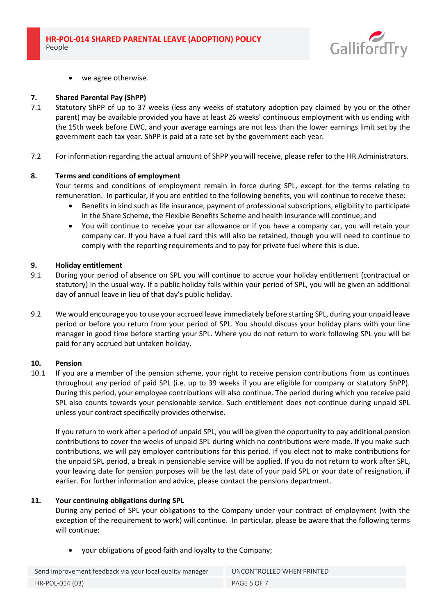

we agree otherwise.

#### **7. Shared Parental Pay (ShPP)**

- 7.1 Statutory ShPP of up to 37 weeks (less any weeks of statutory adoption pay claimed by you or the other parent) may be available provided you have at least 26 weeks' continuous employment with us ending with the 15th week before EWC, and your average earnings are not less than the lower earnings limit set by the government each tax year. ShPP is paid at a rate set by the government each year.
- 7.2 For information regarding the actual amount of ShPP you will receive, please refer to the HR Administrators.

#### **8. Terms and conditions of employment**

Your terms and conditions of employment remain in force during SPL, except for the terms relating to remuneration. In particular, if you are entitled to the following benefits, you will continue to receive these:

- Benefits in kind such as life insurance, payment of professional subscriptions, eligibility to participate in the Share Scheme, the Flexible Benefits Scheme and health insurance will continue; and
- You will continue to receive your car allowance or if you have a company car, you will retain your company car. If you have a fuel card this will also be retained, though you will need to continue to comply with the reporting requirements and to pay for private fuel where this is due.

#### **9. Holiday entitlement**

- 9.1 During your period of absence on SPL you will continue to accrue your holiday entitlement (contractual or statutory) in the usual way. If a public holiday falls within your period of SPL, you will be given an additional day of annual leave in lieu of that day's public holiday.
- 9.2 We would encourage you to use your accrued leave immediately before starting SPL, during your unpaid leave period or before you return from your period of SPL. You should discuss your holiday plans with your line manager in good time before starting your SPL. Where you do not return to work following SPL you will be paid for any accrued but untaken holiday.

#### **10. Pension**

10.1 If you are a member of the pension scheme, your right to receive pension contributions from us continues throughout any period of paid SPL (i.e. up to 39 weeks if you are eligible for company or statutory ShPP). During this period, your employee contributions will also continue. The period during which you receive paid SPL also counts towards your pensionable service. Such entitlement does not continue during unpaid SPL unless your contract specifically provides otherwise.

If you return to work after a period of unpaid SPL, you will be given the opportunity to pay additional pension contributions to cover the weeks of unpaid SPL during which no contributions were made. If you make such contributions, we will pay employer contributions for this period. If you elect not to make contributions for the unpaid SPL period, a break in pensionable service will be applied. If you do not return to work after SPL, your leaving date for pension purposes will be the last date of your paid SPL or your date of resignation, if earlier. For further information and advice, please contact the pensions department.

## **11. Your continuing obligations during SPL**

During any period of SPL your obligations to the Company under your contract of employment (with the exception of the requirement to work) will continue. In particular, please be aware that the following terms will continue:

• your obligations of good faith and loyalty to the Company;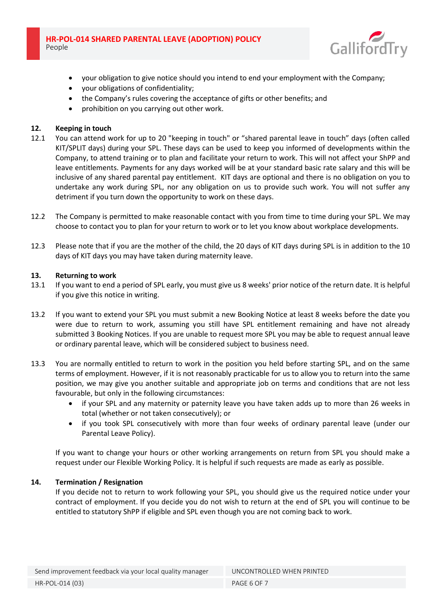

- your obligation to give notice should you intend to end your employment with the Company;
- your obligations of confidentiality;
- the Company's rules covering the acceptance of gifts or other benefits; and
- prohibition on you carrying out other work.

## **12. Keeping in touch**

- 12.1 You can attend work for up to 20 "keeping in touch" or "shared parental leave in touch" days (often called KIT/SPLIT days) during your SPL. These days can be used to keep you informed of developments within the Company, to attend training or to plan and facilitate your return to work. This will not affect your ShPP and leave entitlements. Payments for any days worked will be at your standard basic rate salary and this will be inclusive of any shared parental pay entitlement. KIT days are optional and there is no obligation on you to undertake any work during SPL, nor any obligation on us to provide such work. You will not suffer any detriment if you turn down the opportunity to work on these days.
- 12.2 The Company is permitted to make reasonable contact with you from time to time during your SPL. We may choose to contact you to plan for your return to work or to let you know about workplace developments.
- 12.3 Please note that if you are the mother of the child, the 20 days of KIT days during SPL is in addition to the 10 days of KIT days you may have taken during maternity leave.

#### **13. Returning to work**

- 13.1 If you want to end a period of SPL early, you must give us 8 weeks' prior notice of the return date. It is helpful if you give this notice in writing.
- 13.2 If you want to extend your SPL you must submit a new Booking Notice at least 8 weeks before the date you were due to return to work, assuming you still have SPL entitlement remaining and have not already submitted 3 Booking Notices. If you are unable to request more SPL you may be able to request annual leave or ordinary parental leave, which will be considered subject to business need.
- 13.3 You are normally entitled to return to work in the position you held before starting SPL, and on the same terms of employment. However, if it is not reasonably practicable for us to allow you to return into the same position, we may give you another suitable and appropriate job on terms and conditions that are not less favourable, but only in the following circumstances:
	- if your SPL and any maternity or paternity leave you have taken adds up to more than 26 weeks in total (whether or not taken consecutively); or
	- if you took SPL consecutively with more than four weeks of ordinary parental leave (under our Parental Leave Policy).

If you want to change your hours or other working arrangements on return from SPL you should make a request under our Flexible Working Policy. It is helpful if such requests are made as early as possible.

## **14. Termination / Resignation**

If you decide not to return to work following your SPL, you should give us the required notice under your contract of employment. If you decide you do not wish to return at the end of SPL you will continue to be entitled to statutory ShPP if eligible and SPL even though you are not coming back to work.